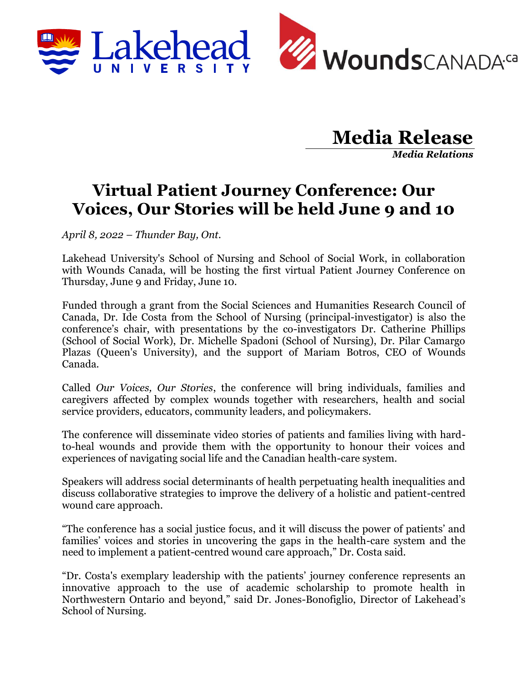

## **Media Release**

*Media Relations*

## **Virtual Patient Journey Conference: Our Voices, Our Stories will be held June 9 and 10**

*April 8, 2022 – Thunder Bay, Ont.* 

Lakehead University's School of Nursing and School of Social Work, in collaboration with Wounds Canada, will be hosting the first virtual Patient Journey Conference on Thursday, June 9 and Friday, June 10.

Funded through a grant from the Social Sciences and Humanities Research Council of Canada, Dr. Ide Costa from the School of Nursing (principal-investigator) is also the conference's chair, with presentations by the co-investigators Dr. Catherine Phillips (School of Social Work), Dr. Michelle Spadoni (School of Nursing), Dr. Pilar Camargo Plazas (Queen's University), and the support of Mariam Botros, CEO of Wounds Canada.

Called *Our Voices, Our Stories*, the conference will bring individuals, families and caregivers affected by complex wounds together with researchers, health and social service providers, educators, community leaders, and policymakers.

The conference will disseminate video stories of patients and families living with hardto-heal wounds and provide them with the opportunity to honour their voices and experiences of navigating social life and the Canadian health-care system.

Speakers will address social determinants of health perpetuating health inequalities and discuss collaborative strategies to improve the delivery of a holistic and patient-centred wound care approach.

"The conference has a social justice focus, and it will discuss the power of patients' and families' voices and stories in uncovering the gaps in the health-care system and the need to implement a patient-centred wound care approach," Dr. Costa said.

"Dr. Costa's exemplary leadership with the patients' journey conference represents an innovative approach to the use of academic scholarship to promote health in Northwestern Ontario and beyond," said Dr. Jones-Bonofiglio, Director of Lakehead's School of Nursing.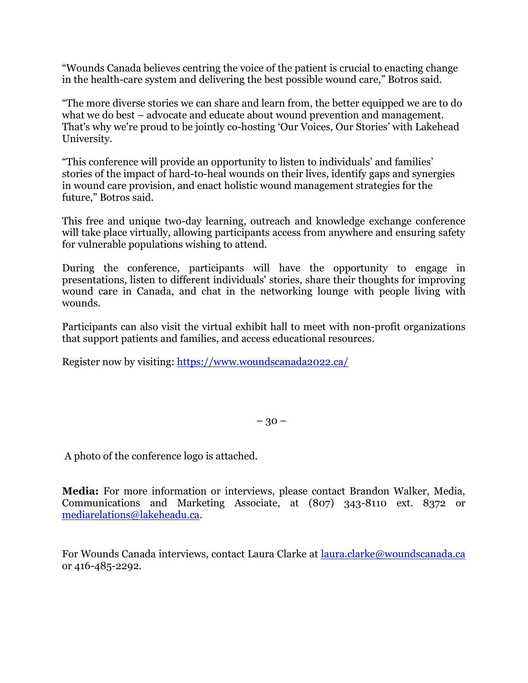"Wounds Canada believes centring the voice of the patient is crucial to enacting change in the health-care system and delivering the best possible wound care," Botros said.

"The more diverse stories we can share and learn from, the better equipped we are to do what we do best – advocate and educate about wound prevention and management. That's why we're proud to be jointly co-hosting 'Our Voices, Our Stories' with Lakehead University.

"This conference will provide an opportunity to listen to individuals' and families' stories of the impact of hard-to-heal wounds on their lives, identify gaps and synergies in wound care provision, and enact holistic wound management strategies for the future," Botros said.

This free and unique two-day learning, outreach and knowledge exchange conference will take place virtually, allowing participants access from anywhere and ensuring safety for vulnerable populations wishing to attend.

During the conference, participants will have the opportunity to engage in presentations, listen to different individuals' stories, share their thoughts for improving wound care in Canada, and chat in the networking lounge with people living with wounds.

Participants can also visit the virtual exhibit hall to meet with non-profit organizations that support patients and families, and access educational resources.

Register now by visiting: https://www.woundscanada2022.ca/

 $-30-$ 

A photo of the conference logo is attached.

**Media:** For more information or interviews, please contact Brandon Walker, Media, Communications and Marketing Associate, at (807) 343-8110 ext. 8372 or mediarelations@lakeheadu.ca.

For Wounds Canada interviews, contact Laura Clarke at laura.clarke@woundscanada.ca or 416-485-2292.